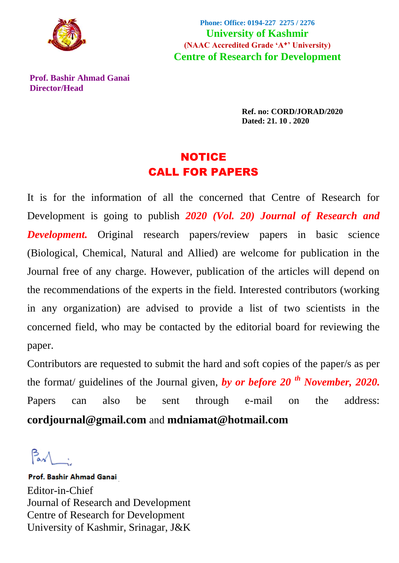

**Phone: Office: 0194-227 2275 / 2276 University of Kashmir (NAAC Accredited Grade 'A**+**' University) Centre of Research for Development**

**Prof. Bashir Ahmad Ganai Director/Head**

> **Ref. no: CORD/JORAD/2020 Dated: 21. 10 . 2020**

# NOTICE CALL FOR PAPERS

It is for the information of all the concerned that Centre of Research for Development is going to publish *2020 (Vol. 20) Journal of Research and Development.* Original research papers/review papers in basic science (Biological, Chemical, Natural and Allied) are welcome for publication in the Journal free of any charge. However, publication of the articles will depend on the recommendations of the experts in the field. Interested contributors (working in any organization) are advised to provide a list of two scientists in the concerned field, who may be contacted by the editorial board for reviewing the paper.

Contributors are requested to submit the hard and soft copies of the paper/s as per the format/ guidelines of the Journal given, *by or before 20 th November, 2020.* Papers can also be sent through e-mail on the address: **cordjournal@gmail.com** and **[mdniamat@hotmail.com](mailto:mdniamat@hotmail.com)**

 $\beta$  .

**Prof. Bashir Ahmad Ganai** Editor-in-Chief Journal of Research and Development Centre of Research for Development University of Kashmir, Srinagar, J&K